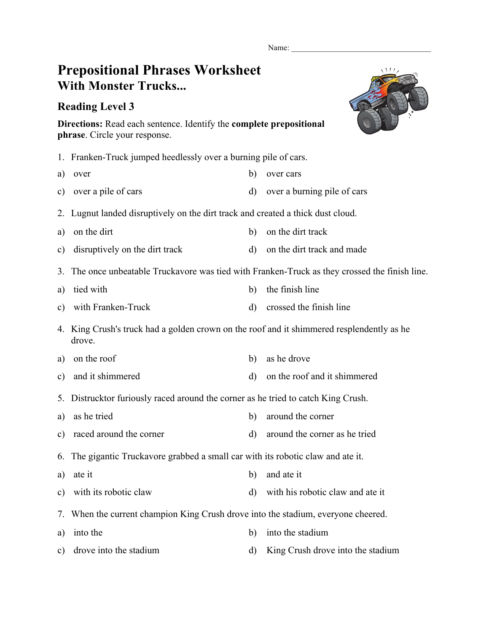Name:

## **Prepositional Phrases Worksheet With Monster Trucks...**

## **Reading Level 3**



**Directions:** Read each sentence. Identify the **complete prepositional phrase**. Circle your response.

- 1. Franken-Truck jumped heedlessly over a burning pile of cars.
- a) over any b) over cars
- c) over a pile of cars d) over a burning pile of cars
- 2. Lugnut landed disruptively on the dirt track and created a thick dust cloud.
- a) on the dirt b) on the dirt track
- c) disruptively on the dirt track d) on the dirt track and made
- 3. The once unbeatable Truckavore was tied with Franken-Truck as they crossed the finish line.
- a) tied with b) the finish line
- c) with Franken-Truck d) crossed the finish line
- 4. King Crush's truck had a golden crown on the roof and it shimmered resplendently as he drove.
- a) on the roof b) as he drove
- c) and it shimmered d) on the roof and it shimmered
- 5. Distrucktor furiously raced around the corner as he tried to catch King Crush.
- a) as he tried b) around the corner
- c) raced around the corner d) around the corner disc around the corner as he tried

6. The gigantic Truckavore grabbed a small car with its robotic claw and ate it.

- a) ate it b) and ate it
- c) with its robotic claw d) with his robotic claw and ate it
- 7. When the current champion King Crush drove into the stadium, everyone cheered.
- a) into the b) into the stadium
- c) drove into the stadium d) King Crush drove into the stadium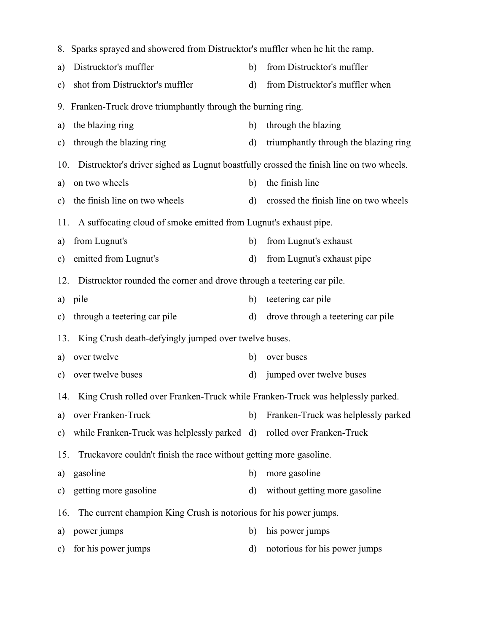|     | 8. Sparks sprayed and showered from Distrucktor's muffler when he hit the ramp.             |              |                                       |  |  |  |  |  |
|-----|---------------------------------------------------------------------------------------------|--------------|---------------------------------------|--|--|--|--|--|
| a)  | Distrucktor's muffler                                                                       | b)           | from Distrucktor's muffler            |  |  |  |  |  |
| c)  | shot from Distrucktor's muffler                                                             | $\rm d)$     | from Distrucktor's muffler when       |  |  |  |  |  |
|     | 9. Franken-Truck drove triumphantly through the burning ring.                               |              |                                       |  |  |  |  |  |
| a)  | the blazing ring                                                                            | b)           | through the blazing                   |  |  |  |  |  |
| c)  | through the blazing ring                                                                    | d)           | triumphantly through the blazing ring |  |  |  |  |  |
|     | 10. Distrucktor's driver sighed as Lugnut boastfully crossed the finish line on two wheels. |              |                                       |  |  |  |  |  |
| a)  | on two wheels                                                                               | b)           | the finish line                       |  |  |  |  |  |
| c)  | the finish line on two wheels                                                               | $\rm d)$     | crossed the finish line on two wheels |  |  |  |  |  |
| 11. | A suffocating cloud of smoke emitted from Lugnut's exhaust pipe.                            |              |                                       |  |  |  |  |  |
| a)  | from Lugnut's                                                                               | b)           | from Lugnut's exhaust                 |  |  |  |  |  |
| c)  | emitted from Lugnut's                                                                       | d)           | from Lugnut's exhaust pipe            |  |  |  |  |  |
| 12. | Distrucktor rounded the corner and drove through a teetering car pile.                      |              |                                       |  |  |  |  |  |
|     | a) pile                                                                                     | b)           | teetering car pile                    |  |  |  |  |  |
| c)  | through a teetering car pile                                                                | d)           | drove through a teetering car pile    |  |  |  |  |  |
|     | 13. King Crush death-defyingly jumped over twelve buses.                                    |              |                                       |  |  |  |  |  |
| a)  | over twelve                                                                                 | b)           | over buses                            |  |  |  |  |  |
| c)  | over twelve buses                                                                           | d)           | jumped over twelve buses              |  |  |  |  |  |
|     | 14. King Crush rolled over Franken-Truck while Franken-Truck was helplessly parked.         |              |                                       |  |  |  |  |  |
|     | a) over Franken-Truck                                                                       | b)           | Franken-Truck was helplessly parked   |  |  |  |  |  |
|     | c) while Franken-Truck was helplessly parked d) rolled over Franken-Truck                   |              |                                       |  |  |  |  |  |
| 15. | Truckavore couldn't finish the race without getting more gasoline.                          |              |                                       |  |  |  |  |  |
| a)  | gasoline                                                                                    | b)           | more gasoline                         |  |  |  |  |  |
|     | c) getting more gasoline                                                                    |              | d) without getting more gasoline      |  |  |  |  |  |
|     | 16. The current champion King Crush is notorious for his power jumps.                       |              |                                       |  |  |  |  |  |
| a)  | power jumps                                                                                 | b)           | his power jumps                       |  |  |  |  |  |
|     | c) for his power jumps                                                                      | $\mathbf{d}$ | notorious for his power jumps         |  |  |  |  |  |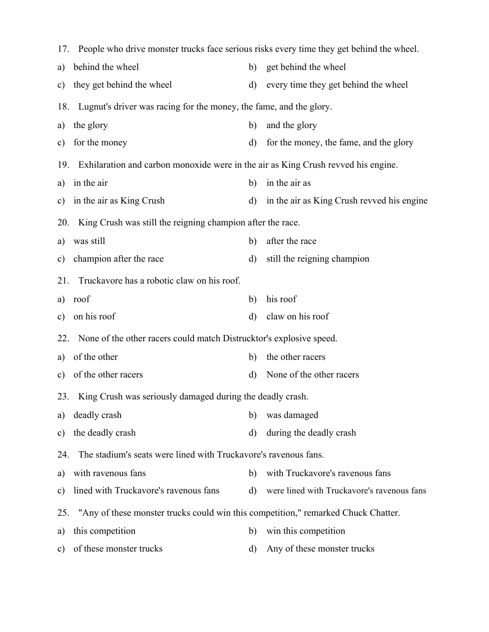|     | 17. People who drive monster trucks face serious risks every time they get behind the wheel. |              |                                            |  |  |  |  |  |  |
|-----|----------------------------------------------------------------------------------------------|--------------|--------------------------------------------|--|--|--|--|--|--|
| a)  | behind the wheel                                                                             | b)           | get behind the wheel                       |  |  |  |  |  |  |
| c)  | they get behind the wheel                                                                    | $\rm d)$     | every time they get behind the wheel       |  |  |  |  |  |  |
| 18. | Lugnut's driver was racing for the money, the fame, and the glory.                           |              |                                            |  |  |  |  |  |  |
| a)  | the glory                                                                                    | b)           | and the glory                              |  |  |  |  |  |  |
| c)  | for the money                                                                                | $\mathbf{d}$ | for the money, the fame, and the glory     |  |  |  |  |  |  |
| 19. | Exhilaration and carbon monoxide were in the air as King Crush revved his engine.            |              |                                            |  |  |  |  |  |  |
| a)  | in the air                                                                                   | b)           | in the air as                              |  |  |  |  |  |  |
| c)  | in the air as King Crush                                                                     | d)           | in the air as King Crush revved his engine |  |  |  |  |  |  |
| 20. | King Crush was still the reigning champion after the race.                                   |              |                                            |  |  |  |  |  |  |
| a)  | was still                                                                                    | b)           | after the race                             |  |  |  |  |  |  |
| c)  | champion after the race                                                                      | $\mathbf{d}$ | still the reigning champion                |  |  |  |  |  |  |
| 21. | Truckavore has a robotic claw on his roof.                                                   |              |                                            |  |  |  |  |  |  |
| a)  | roof                                                                                         | b)           | his roof                                   |  |  |  |  |  |  |
| c)  | on his roof                                                                                  | $\mathbf{d}$ | claw on his roof                           |  |  |  |  |  |  |
| 22. | None of the other racers could match Distrucktor's explosive speed.                          |              |                                            |  |  |  |  |  |  |
| a)  | of the other                                                                                 | b)           | the other racers                           |  |  |  |  |  |  |
| c)  | of the other racers                                                                          | $\mathbf{d}$ | None of the other racers                   |  |  |  |  |  |  |
|     | 23. King Crush was seriously damaged during the deadly crash.                                |              |                                            |  |  |  |  |  |  |
| a)  | deadly crash                                                                                 | b)           | was damaged                                |  |  |  |  |  |  |
| c)  | the deadly crash                                                                             | $\mathbf{d}$ | during the deadly crash                    |  |  |  |  |  |  |
| 24. | The stadium's seats were lined with Truckavore's ravenous fans.                              |              |                                            |  |  |  |  |  |  |
| a)  | with ravenous fans                                                                           | b)           | with Truckavore's ravenous fans            |  |  |  |  |  |  |
| c)  | lined with Truckavore's ravenous fans                                                        | $\rm d)$     | were lined with Truckavore's ravenous fans |  |  |  |  |  |  |
| 25. | "Any of these monster trucks could win this competition," remarked Chuck Chatter.            |              |                                            |  |  |  |  |  |  |
| a)  | this competition                                                                             | b)           | win this competition                       |  |  |  |  |  |  |
| c)  | of these monster trucks                                                                      | d)           | Any of these monster trucks                |  |  |  |  |  |  |